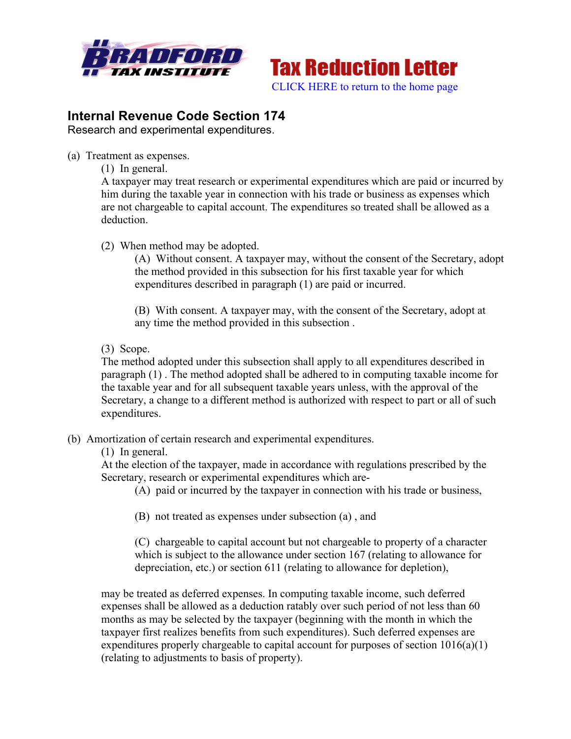



## **Internal Revenue Code Section 174**

Research and experimental expenditures.

- (a) Treatment as expenses.
	- (1) In general.

A taxpayer may treat research or experimental expenditures which are paid or incurred by him during the taxable year in connection with his trade or business as expenses which are not chargeable to capital account. The expenditures so treated shall be allowed as a deduction.

## (2) When method may be adopted.

(A) Without consent. A taxpayer may, without the consent of the Secretary, adopt the method provided in this subsection for his first taxable year for which expenditures described in paragraph (1) are paid or incurred.

(B) With consent. A taxpayer may, with the consent of the Secretary, adopt at any time the method provided in this subsection .

(3) Scope.

The method adopted under this subsection shall apply to all expenditures described in paragraph (1) . The method adopted shall be adhered to in computing taxable income for the taxable year and for all subsequent taxable years unless, with the approval of the Secretary, a change to a different method is authorized with respect to part or all of such expenditures.

(b) Amortization of certain research and experimental expenditures.

(1) In general.

At the election of the taxpayer, made in accordance with regulations prescribed by the Secretary, research or experimental expenditures which are-

- (A) paid or incurred by the taxpayer in connection with his trade or business,
- (B) not treated as expenses under subsection (a) , and

(C) chargeable to capital account but not chargeable to property of a character which is subject to the allowance under section 167 (relating to allowance for depreciation, etc.) or section 611 (relating to allowance for depletion),

may be treated as deferred expenses. In computing taxable income, such deferred expenses shall be allowed as a deduction ratably over such period of not less than 60 months as may be selected by the taxpayer (beginning with the month in which the taxpayer first realizes benefits from such expenditures). Such deferred expenses are expenditures properly chargeable to capital account for purposes of section 1016(a)(1) (relating to adjustments to basis of property).